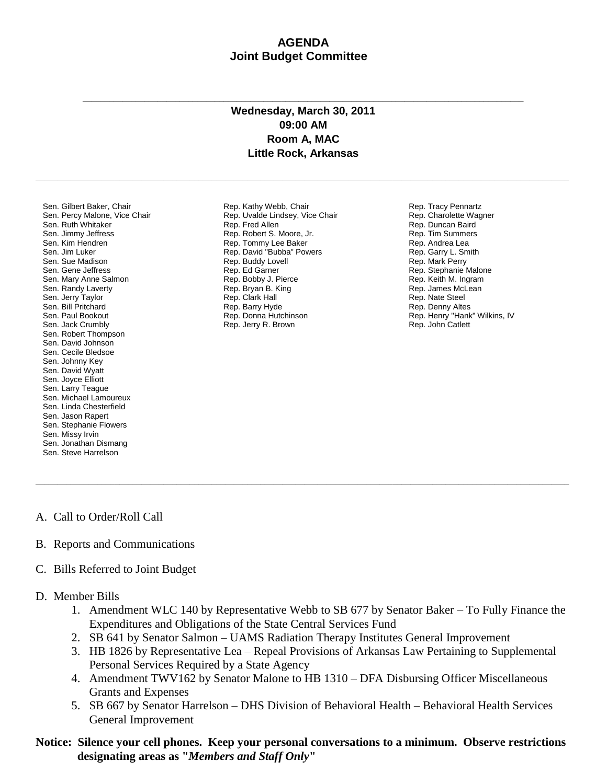## **AGENDA Joint Budget Committee**

## **Wednesday, March 30, 2011 09:00 AM Room A, MAC Little Rock, Arkansas**

**\_\_\_\_\_\_\_\_\_\_\_\_\_\_\_\_\_\_\_\_\_\_\_\_\_\_\_\_\_\_\_\_\_\_\_\_\_\_\_\_\_\_\_\_\_\_\_\_\_\_\_\_\_\_\_\_\_\_\_\_\_\_\_\_\_\_\_\_\_\_\_\_\_\_\_\_\_\_\_\_\_\_\_\_\_\_\_\_\_\_\_\_\_\_\_\_\_\_\_\_\_\_\_\_\_\_\_\_\_\_\_\_\_\_\_\_\_\_\_\_\_**

**\_\_\_\_\_\_\_\_\_\_\_\_\_\_\_\_\_\_\_\_\_\_\_\_\_\_\_\_\_\_\_\_\_\_\_\_\_\_\_\_\_\_\_\_\_\_\_\_\_\_\_\_\_\_\_\_\_\_\_\_\_\_\_\_\_\_\_\_\_\_\_\_\_\_\_\_\_\_\_\_\_\_\_\_\_\_\_\_\_\_\_\_\_\_\_\_\_\_\_\_**

Sen. Gilbert Baker, Chair Sen. Percy Malone, Vice Chair Sen. Ruth Whitaker Sen. Jimmy Jeffress Sen. Kim Hendren Sen. Jim Luker Sen. Sue Madison Sen. Gene Jeffress Sen. Mary Anne Salmon Sen. Randy Laverty Sen. Jerry Taylor Sen. Bill Pritchard Sen. Paul Bookout Sen. Jack Crumbly Sen. Robert Thompson Sen. David Johnson Sen. Cecile Bledsoe Sen. Johnny Key Sen. David Wyatt Sen. Joyce Elliott Sen. Larry Teague Sen. Michael Lamoureux Sen. Linda Chesterfield Sen. Jason Rapert Sen. Stephanie Flowers Sen. Missy Irvin Sen. Jonathan Dismang Sen. Steve Harrelson

Rep. Kathy Webb, Chair Rep. Uvalde Lindsey, Vice Chair Rep. Fred Allen Rep. Robert S. Moore, Jr. Rep. Tommy Lee Baker Rep. David "Bubba" Powers Rep. Buddy Lovell Rep. Ed Garner Rep. Bobby J. Pierce Rep. Bryan B. King Rep. Clark Hall Rep. Barry Hyde Rep. Donna Hutchinson Rep. Jerry R. Brown

Rep. Tracy Pennartz Rep. Charolette Wagner Rep. Duncan Baird Rep. Tim Summers Rep. Andrea Lea Rep. Garry L. Smith Rep. Mark Perry Rep. Stephanie Malone Rep. Keith M. Ingram Rep. James McLean Rep. Nate Steel Rep. Denny Altes Rep. Henry "Hank" Wilkins, IV Rep. John Catlett

- A. Call to Order/Roll Call
- B. Reports and Communications
- C. Bills Referred to Joint Budget
- D. Member Bills
	- 1. Amendment WLC 140 by Representative Webb to SB 677 by Senator Baker To Fully Finance the Expenditures and Obligations of the State Central Services Fund
	- 2. SB 641 by Senator Salmon UAMS Radiation Therapy Institutes General Improvement

**\_\_\_\_\_\_\_\_\_\_\_\_\_\_\_\_\_\_\_\_\_\_\_\_\_\_\_\_\_\_\_\_\_\_\_\_\_\_\_\_\_\_\_\_\_\_\_\_\_\_\_\_\_\_\_\_\_\_\_\_\_\_\_\_\_\_\_\_\_\_\_\_\_\_\_\_\_\_\_\_\_\_\_\_\_\_\_\_\_\_\_\_\_\_\_\_\_\_\_\_\_\_\_\_\_\_\_\_\_\_\_\_\_\_\_\_\_\_\_\_\_**

- 3. HB 1826 by Representative Lea Repeal Provisions of Arkansas Law Pertaining to Supplemental Personal Services Required by a State Agency
- 4. Amendment TWV162 by Senator Malone to HB 1310 DFA Disbursing Officer Miscellaneous Grants and Expenses
- 5. SB 667 by Senator Harrelson DHS Division of Behavioral Health Behavioral Health Services General Improvement
- **Notice: Silence your cell phones. Keep your personal conversations to a minimum. Observe restrictions designating areas as "***Members and Staff Only***"**